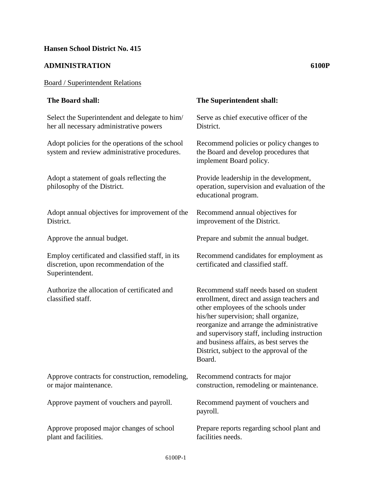## **ADMINISTRATION 6100P**

plant and facilities.

### Board / Superintendent Relations

### **The Board shall: The Superintendent shall:** Select the Superintendent and delegate to him/ her all necessary administrative powers Serve as chief executive officer of the **District** Adopt policies for the operations of the school system and review administrative procedures. Recommend policies or policy changes to the Board and develop procedures that implement Board policy. Adopt a statement of goals reflecting the philosophy of the District. Provide leadership in the development, operation, supervision and evaluation of the educational program. Adopt annual objectives for improvement of the District. Recommend annual objectives for improvement of the District. Approve the annual budget. Prepare and submit the annual budget. Employ certificated and classified staff, in its discretion, upon recommendation of the Superintendent. Recommend candidates for employment as certificated and classified staff. Authorize the allocation of certificated and classified staff. Recommend staff needs based on student enrollment, direct and assign teachers and other employees of the schools under his/her supervision; shall organize, reorganize and arrange the administrative and supervisory staff, including instruction and business affairs, as best serves the District, subject to the approval of the Board. Approve contracts for construction, remodeling, or major maintenance. Recommend contracts for major construction, remodeling or maintenance. Approve payment of vouchers and payroll. Recommend payment of vouchers and payroll. Approve proposed major changes of school Prepare reports regarding school plant and

facilities needs.